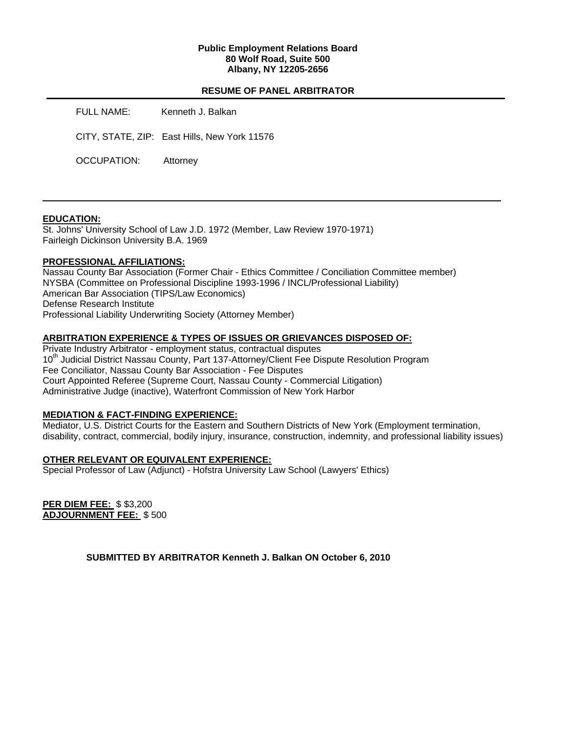### **Public Employment Relations Board 80 Wolf Road, Suite 500 Albany, NY 12205-2656**

### **RESUME OF PANEL ARBITRATOR**

FULL NAME: Kenneth J. Balkan

CITY, STATE, ZIP: East Hills, New York 11576

OCCUPATION: Attorney

#### **EDUCATION:**

St. Johns' University School of Law J.D. 1972 (Member, Law Review 1970-1971) Fairleigh Dickinson University B.A. 1969

### **PROFESSIONAL AFFILIATIONS:**

Nassau County Bar Association (Former Chair - Ethics Committee / Conciliation Committee member) NYSBA (Committee on Professional Discipline 1993-1996 / INCL/Professional Liability) American Bar Association (TIPS/Law Economics) Defense Research Institute Professional Liability Underwriting Society (Attorney Member)

### **ARBITRATION EXPERIENCE & TYPES OF ISSUES OR GRIEVANCES DISPOSED OF:**

Private Industry Arbitrator - employment status, contractual disputes 10<sup>th</sup> Judicial District Nassau County, Part 137-Attorney/Client Fee Dispute Resolution Program Fee Conciliator, Nassau County Bar Association - Fee Disputes Court Appointed Referee (Supreme Court, Nassau County - Commercial Litigation) Administrative Judge (inactive), Waterfront Commission of New York Harbor

### **MEDIATION & FACT-FINDING EXPERIENCE:**

Mediator, U.S. District Courts for the Eastern and Southern Districts of New York (Employment termination, disability, contract, commercial, bodily injury, insurance, construction, indemnity, and professional liability issues)

# **OTHER RELEVANT OR EQUIVALENT EXPERIENCE:**

Special Professor of Law (Adjunct) - Hofstra University Law School (Lawyers' Ethics)

**PER DIEM FEE:** \$ \$3,200 **ADJOURNMENT FEE:** \$ 500

**SUBMITTED BY ARBITRATOR Kenneth J. Balkan ON October 6, 2010**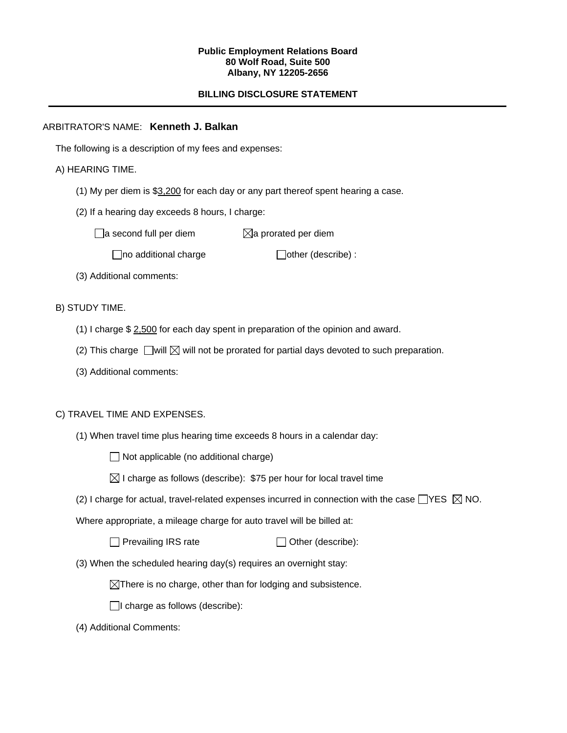#### **Public Employment Relations Board 80 Wolf Road, Suite 500 Albany, NY 12205-2656**

# **BILLING DISCLOSURE STATEMENT**

### ARBITRATOR'S NAME: **Kenneth J. Balkan**

The following is a description of my fees and expenses:

### A) HEARING TIME.

- (1) My per diem is \$3,200 for each day or any part thereof spent hearing a case.
- (2) If a hearing day exceeds 8 hours, I charge:

 $\Box$ a second full per diem  $\boxtimes$ a prorated per diem

 $\Box$ no additional charge  $\Box$ other (describe) :

(3) Additional comments:

B) STUDY TIME.

- (1) I charge \$ 2,500 for each day spent in preparation of the opinion and award.
- (2) This charge  $\Box$  will  $\boxtimes$  will not be prorated for partial days devoted to such preparation.
- (3) Additional comments:

### C) TRAVEL TIME AND EXPENSES.

(1) When travel time plus hearing time exceeds 8 hours in a calendar day:

 $\Box$  Not applicable (no additional charge)

 $\boxtimes$  I charge as follows (describe): \$75 per hour for local travel time

(2) I charge for actual, travel-related expenses incurred in connection with the case  $\Box$ YES  $\boxtimes$  NO.

Where appropriate, a mileage charge for auto travel will be billed at:

 $\Box$  Prevailing IRS rate  $\Box$  Other (describe):

(3) When the scheduled hearing day(s) requires an overnight stay:

 $\boxtimes$ There is no charge, other than for lodging and subsistence.

 $\Box$ I charge as follows (describe):

(4) Additional Comments: